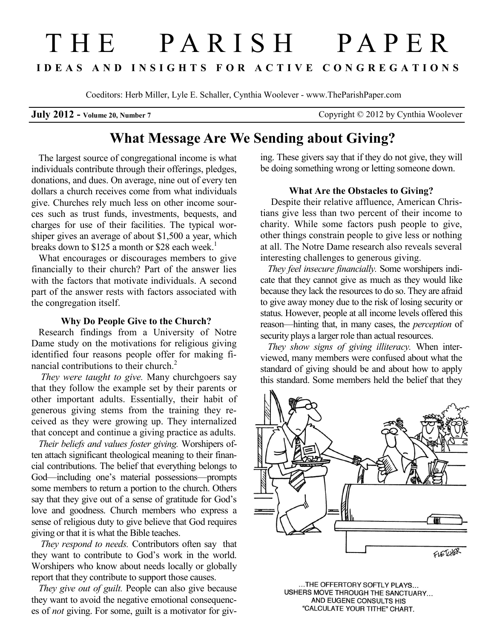# THE PARISH PAPER **I D E A S A N D I N S I G H T S F O R A C T I V E C O N G R E G A T I O N S**

Coeditors: Herb Miller, Lyle E. Schaller, Cynthia Woolever - www.TheParishPaper.com

**July 2012 -** Volume 20, Number 7 Copyright © 2012 by Cynthia Woolever

# **What Message Are We Sending about Giving?**

The largest source of congregational income is what individuals contribute through their offerings, pledges, donations, and dues. On average, nine out of every ten dollars a church receives come from what individuals give. Churches rely much less on other income sources such as trust funds, investments, bequests, and charges for use of their facilities. The typical worshiper gives an average of about \$1,500 a year, which breaks down to \$125 a month or \$28 each week.<sup>1</sup>

What encourages or discourages members to give financially to their church? Part of the answer lies with the factors that motivate individuals. A second part of the answer rests with factors associated with the congregation itself.

# **Why Do People Give to the Church?**

Research findings from a University of Notre Dame study on the motivations for religious giving identified four reasons people offer for making financial contributions to their church.<sup>2</sup>

*They were taught to give.* Many churchgoers say that they follow the example set by their parents or other important adults. Essentially, their habit of generous giving stems from the training they received as they were growing up. They internalized that concept and continue a giving practice as adults.

*Their beliefs and values foster giving.* Worshipers often attach significant theological meaning to their financial contributions. The belief that everything belongs to God—including one's material possessions—prompts some members to return a portion to the church. Others say that they give out of a sense of gratitude for God's love and goodness. Church members who express a sense of religious duty to give believe that God requires giving or that it is what the Bible teaches.

*They respond to needs.* Contributors often say that they want to contribute to God's work in the world. Worshipers who know about needs locally or globally report that they contribute to support those causes.

*They give out of guilt.* People can also give because they want to avoid the negative emotional consequences of *not* giving. For some, guilt is a motivator for giving. These givers say that if they do not give, they will be doing something wrong or letting someone down.

# **What Are the Obstacles to Giving?**

Despite their relative affluence, American Christians give less than two percent of their income to charity. While some factors push people to give, other things constrain people to give less or nothing at all. The Notre Dame research also reveals several interesting challenges to generous giving.

*They feel insecure financially.* Some worshipers indicate that they cannot give as much as they would like because they lack the resources to do so. They are afraid to give away money due to the risk of losing security or status. However, people at all income levels offered this reason—hinting that, in many cases, the *perception* of security plays a larger role than actual resources.

*They show signs of giving illiteracy.* When interviewed, many members were confused about what the standard of giving should be and about how to apply this standard. Some members held the belief that they



...THE OFFERTORY SOFTLY PLAYS... USHERS MOVE THROUGH THE SANCTUARY... AND EUGENE CONSULTS HIS "CALCULATE YOUR TITHE" CHART.